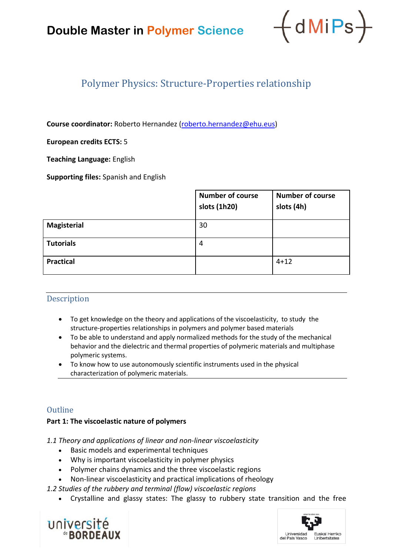# **Double Master in Polymer Science**



# Polymer Physics: Structure-Properties relationship

**Course coordinator:** Roberto Hernandez ([roberto.hernandez@ehu.eus](mailto:antxon.santamaria@ehu.eus))

### **European credits ECTS:** 5

**Teaching Language:** English

**Supporting files:** Spanish and English

|                    | <b>Number of course</b><br>slots (1h20) | <b>Number of course</b><br>slots (4h) |
|--------------------|-----------------------------------------|---------------------------------------|
| <b>Magisterial</b> | 30                                      |                                       |
| <b>Tutorials</b>   | 4                                       |                                       |
| <b>Practical</b>   |                                         | $4 + 12$                              |

### Description

- To get knowledge on the theory and applications of the viscoelasticity, to study the structure-properties relationships in polymers and polymer based materials
- To be able to understand and apply normalized methods for the study of the mechanical behavior and the dielectric and thermal properties of polymeric materials and multiphase polymeric systems.
- To know how to use autonomously scientific instruments used in the physical characterization of polymeric materials.

# **Outline**

### **Part 1: The viscoelastic nature of polymers**

*1.1 Theory and applications of linear and non-linear viscoelasticity*

- Basic models and experimental techniques
- Why is important viscoelasticity in polymer physics
- Polymer chains dynamics and the three viscoelastic regions
- Non-linear viscoelasticity and practical implications of rheology

*1.2 Studies of the rubbery and terminal (flow) viscoelastic regions*

• Crystalline and glassy states: The glassy to rubbery state transition and the free